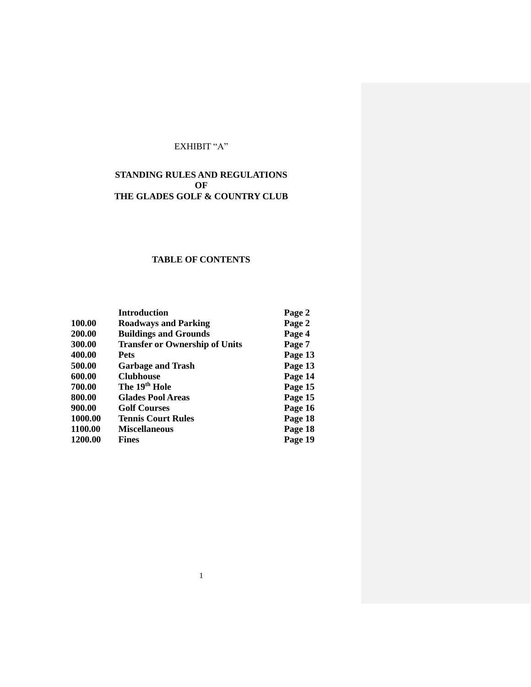# EXHIBIT "A"

# **STANDING RULES AND REGULATIONS OF THE GLADES GOLF & COUNTRY CLUB**

# **TABLE OF CONTENTS**

|         | <b>Introduction</b>                   | Page 2  |
|---------|---------------------------------------|---------|
| 100.00  | <b>Roadways and Parking</b>           | Page 2  |
| 200.00  | <b>Buildings and Grounds</b>          | Page 4  |
| 300.00  | <b>Transfer or Ownership of Units</b> | Page 7  |
| 400.00  | Pets                                  | Page 13 |
| 500.00  | <b>Garbage and Trash</b>              | Page 13 |
| 600.00  | <b>Clubhouse</b>                      | Page 14 |
| 700.00  | The 19 <sup>th</sup> Hole             | Page 15 |
| 800.00  | <b>Glades Pool Areas</b>              | Page 15 |
| 900.00  | <b>Golf Courses</b>                   | Page 16 |
| 1000.00 | <b>Tennis Court Rules</b>             | Page 18 |
| 1100.00 | <b>Miscellaneous</b>                  | Page 18 |
| 1200.00 | <b>Fines</b>                          | Page 19 |

1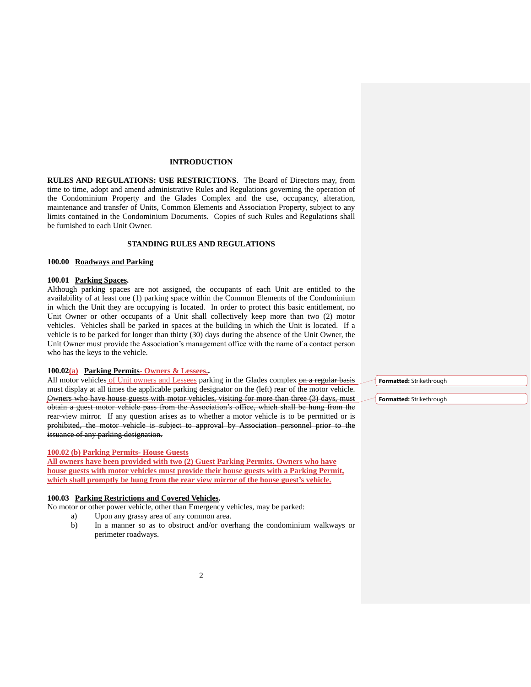## **INTRODUCTION**

**RULES AND REGULATIONS: USE RESTRICTIONS**. The Board of Directors may, from time to time, adopt and amend administrative Rules and Regulations governing the operation of the Condominium Property and the Glades Complex and the use, occupancy, alteration, maintenance and transfer of Units, Common Elements and Association Property, subject to any limits contained in the Condominium Documents. Copies of such Rules and Regulations shall be furnished to each Unit Owner.

# **STANDING RULES AND REGULATIONS**

### **100.00 Roadways and Parking**

# **100.01 Parking Spaces.**

Although parking spaces are not assigned, the occupants of each Unit are entitled to the availability of at least one (1) parking space within the Common Elements of the Condominium in which the Unit they are occupying is located. In order to protect this basic entitlement, no Unit Owner or other occupants of a Unit shall collectively keep more than two (2) motor vehicles. Vehicles shall be parked in spaces at the building in which the Unit is located. If a vehicle is to be parked for longer than thirty (30) days during the absence of the Unit Owner, the Unit Owner must provide the Association's management office with the name of a contact person who has the keys to the vehicle.

# **100.02(a) Parking Permits- Owners & Lessees..**

All motor vehicles of Unit owners and Lessees parking in the Glades complex on a regular basis must display at all times the applicable parking designator on the (left) rear of the motor vehicle. Owners who have house guests with motor vehicles, visiting for more than three (3) days, must obtain a guest motor vehicle pass from the Association's office, which shall be hung from the rear-view mirror. If any question arises as to whether a motor vehicle is to be permitted or is prohibited, the motor vehicle is subject to approval by Association personnel prior to the issuance of any parking designation.

#### **100.02 (b) Parking Permits- House Guests**

**All owners have been provided with two (2) Guest Parking Permits. Owners who have house guests with motor vehicles must provide their house guests with a Parking Permit, which shall promptly be hung from the rear view mirror of the house guest's vehicle.**

#### **100.03 Parking Restrictions and Covered Vehicles.**

No motor or other power vehicle, other than Emergency vehicles, may be parked:

- a) Upon any grassy area of any common area.
- b) In a manner so as to obstruct and/or overhang the condominium walkways or perimeter roadways.

**Formatted:** Strikethrough

**Formatted:** Strikethrough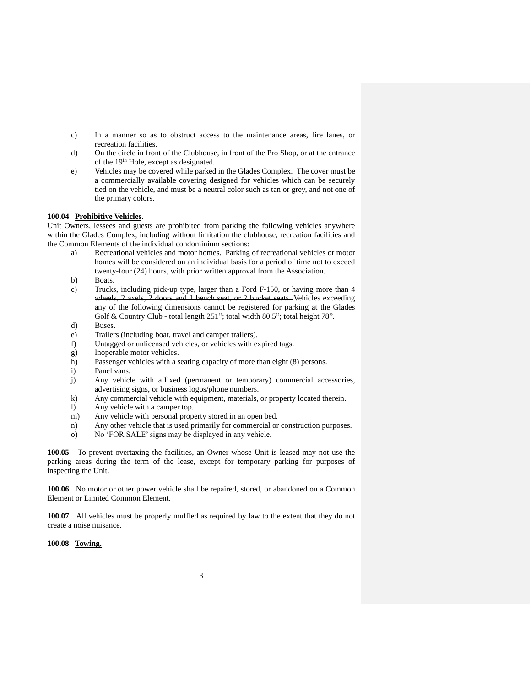- c) In a manner so as to obstruct access to the maintenance areas, fire lanes, or recreation facilities.
- d) On the circle in front of the Clubhouse, in front of the Pro Shop, or at the entrance of the 19<sup>th</sup> Hole, except as designated.
- e) Vehicles may be covered while parked in the Glades Complex. The cover must be a commercially available covering designed for vehicles which can be securely tied on the vehicle, and must be a neutral color such as tan or grey, and not one of the primary colors.

# **100.04 Prohibitive Vehicles.**

Unit Owners, lessees and guests are prohibited from parking the following vehicles anywhere within the Glades Complex, including without limitation the clubhouse, recreation facilities and the Common Elements of the individual condominium sections:

- a) Recreational vehicles and motor homes. Parking of recreational vehicles or motor homes will be considered on an individual basis for a period of time not to exceed twenty-four (24) hours, with prior written approval from the Association.
- b) Boats.
- c) Trucks, including pick-up type, larger than a Ford F-150, or having more than 4 wheels, 2 axels, 2 doors and 1 bench seat, or 2 bucket seats. Vehicles exceeding any of the following dimensions cannot be registered for parking at the Glades Golf & Country Club - total length 251"; total width 80.5"; total height 78".
- d) Buses.
- e) Trailers (including boat, travel and camper trailers).
- f) Untagged or unlicensed vehicles, or vehicles with expired tags.
- g) Inoperable motor vehicles.
- h) Passenger vehicles with a seating capacity of more than eight (8) persons.
- i) Panel vans.
- j) Any vehicle with affixed (permanent or temporary) commercial accessories, advertising signs, or business logos/phone numbers.
- k) Any commercial vehicle with equipment, materials, or property located therein.
- l) Any vehicle with a camper top.
- m) Any vehicle with personal property stored in an open bed.
- n) Any other vehicle that is used primarily for commercial or construction purposes.
- o) No 'FOR SALE' signs may be displayed in any vehicle.

**100.05** To prevent overtaxing the facilities, an Owner whose Unit is leased may not use the parking areas during the term of the lease, except for temporary parking for purposes of inspecting the Unit.

**100.06** No motor or other power vehicle shall be repaired, stored, or abandoned on a Common Element or Limited Common Element.

**100.07** All vehicles must be properly muffled as required by law to the extent that they do not create a noise nuisance.

**100.08 Towing.**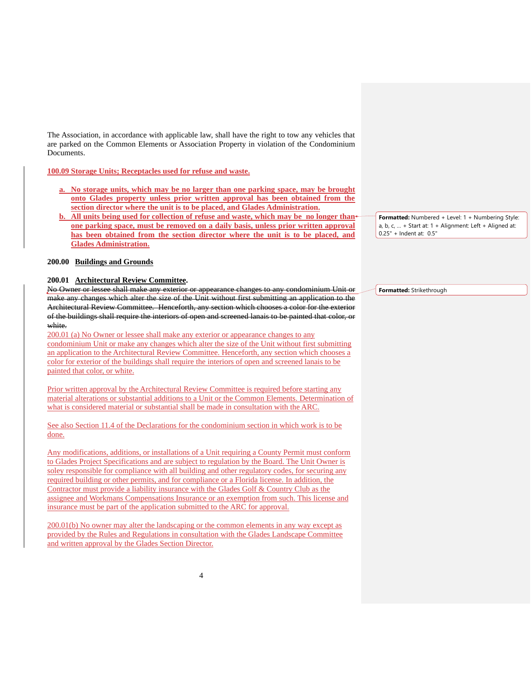The Association, in accordance with applicable law, shall have the right to tow any vehicles that are parked on the Common Elements or Association Property in violation of the Condominium Documents.

# **100.09 Storage Units; Receptacles used for refuse and waste.**

- **a. No storage units, which may be no larger than one parking space, may be brought onto Glades property unless prior written approval has been obtained from the section director where the unit is to be placed, and Glades Administration.**
- **b.** All units being used for collection of refuse and waste, which may be no longer than **one parking space, must be removed on a daily basis, unless prior written approval has been obtained from the section director where the unit is to be placed, and Glades Administration.**

# **200.00 Buildings and Grounds**

#### **200.01 Architectural Review Committee.**

No Owner or lessee shall make any exterior or appearance changes to any condominium Unit or make any changes which alter the size of the Unit without first submitting an application to the Architectural Review Committee. Henceforth, any section which chooses a color for the exterior of the buildings shall require the interiors of open and screened lanais to be painted that color, or white.

200.01 (a) No Owner or lessee shall make any exterior or appearance changes to any condominium Unit or make any changes which alter the size of the Unit without first submitting an application to the Architectural Review Committee. Henceforth, any section which chooses a color for exterior of the buildings shall require the interiors of open and screened lanais to be painted that color, or white.

Prior written approval by the Architectural Review Committee is required before starting any material alterations or substantial additions to a Unit or the Common Elements. Determination of what is considered material or substantial shall be made in consultation with the ARC.

See also Section 11.4 of the Declarations for the condominium section in which work is to be done.

Any modifications, additions, or installations of a Unit requiring a County Permit must conform to Glades Project Specifications and are subject to regulation by the Board. The Unit Owner is soley responsible for compliance with all building and other regulatory codes, for securing any required building or other permits, and for compliance or a Florida license. In addition, the Contractor must provide a liability insurance with the Glades Golf & Country Club as the assignee and Workmans Compensations Insurance or an exemption from such. This license and insurance must be part of the application submitted to the ARC for approval.

200.01(b) No owner may alter the landscaping or the common elements in any way except as provided by the Rules and Regulations in consultation with the Glades Landscape Committee and written approval by the Glades Section Director.

**Formatted:** Numbered + Level: 1 + Numbering Style: a, b, c, … + Start at: 1 + Alignment: Left + Aligned at: 0.25" + Indent at: 0.5"

**Formatted:** Strikethrough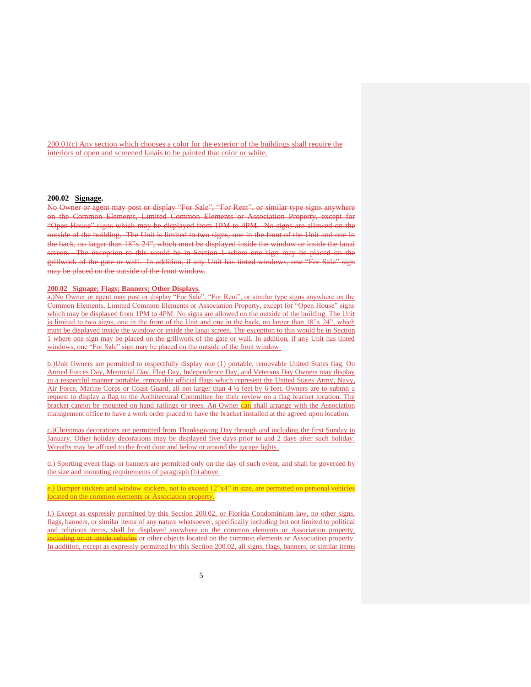200.01(c) Any section which chooses a color for the exterior of the buildings shall require the interiors of open and screened lanais to be painted that color or white.

## **200.02 Signage.**

No Owner or agent may post or display "For Sale", "For Rent", or similar type signs anywhere on the Common Elements, Limited Common Elements or Association Property, except for "Open House" signs which may be displayed from 1PM to 4PM. No signs are allowed on the outside of the building. The Unit is limited to two signs, one in the front of the Unit and one in the back, no larger than 18"x 24", which must be displayed inside the window or inside the lanai screen. The exception to this would be in Section 1 where one sign may be placed on the grillwork of the gate or wall. In addition, if any Unit has tinted windows, one "For Sale" sign may be placed on the outside of the front window.

# **200.02 Signage; Flags; Banners; Other Displays.**

a.)No Owner or agent may post or display "For Sale", "For Rent", or similar type signs anywhere on the Common Elements, Limited Common Elements or Association Property, except for "Open House" signs which may be displayed from 1PM to 4PM. No signs are allowed on the outside of the building. The Unit is limited to two signs, one in the front of the Unit and one in the back, no larger than 18"x 24", which must be displayed inside the window or inside the lanai screen. The exception to this would be in Section 1 where one sign may be placed on the grillwork of the gate or wall. In addition, if any Unit has tinted windows, one "For Sale" sign may be placed on the outside of the front window.

b.)Unit Owners are permitted to respectfully display one (1) portable, removable United States flag. On Armed Forces Day, Memorial Day, Flag Day, Independence Day, and Veterans Day Owners may display in a respectful manner portable, removable official flags which represent the United States Army, Navy, Air Force, Marine Corps or Coast Guard, all not larger than 4 ½ feet by 6 feet. Owners are to submit a request to display a flag to the Architectural Committee for their review on a flag bracket location. The bracket cannot be mounted on hand railings or trees. An Owner early shall arrange with the Association management office to have a work order placed to have the bracket installed at the agreed upon location.

c.)Christmas decorations are permitted from Thanksgiving Day through and including the first Sunday in January. Other holiday decorations may be displayed five days prior to and 2 days after such holiday. Wreaths may be affixed to the front door and below or around the garage lights.

d.) Sporting event flags or banners are permitted only on the day of such event, and shall be governed by the size and mounting requirements of paragraph (b) above.

e.) Bumper stickers and window stickers, not to exceed 12"x4" in size, are permitted on personal vehicles located on the common elements or Association property.

f.) Except as expressly permitted by this Section 200.02, or Florida Condominium law, no other signs, flags, banners, or similar items of any nature whatsoever, specifically including but not limited to political and religious items, shall be displayed anywhere on the common elements or Association property, neluding on or inside vehicles or other objects located on the common elements or Association property. In addition, except as expressly permitted by this Section 200.02, all signs, flags, banners, or similar items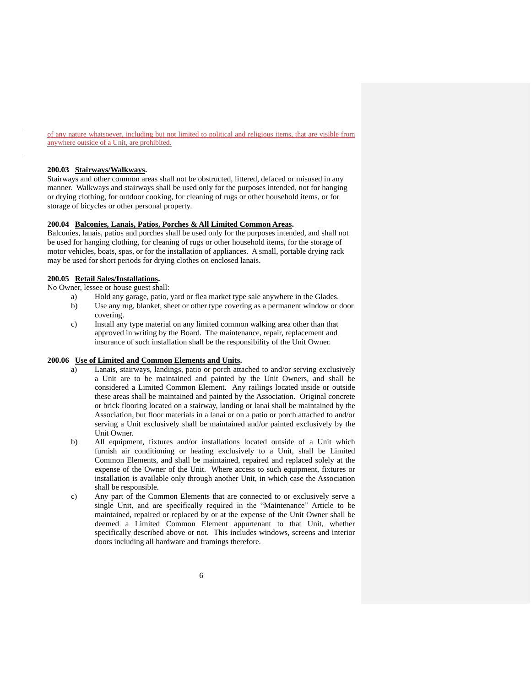of any nature whatsoever, including but not limited to political and religious items, that are visible from anywhere outside of a Unit, are prohibited.

# **200.03 Stairways/Walkways.**

Stairways and other common areas shall not be obstructed, littered, defaced or misused in any manner. Walkways and stairways shall be used only for the purposes intended, not for hanging or drying clothing, for outdoor cooking, for cleaning of rugs or other household items, or for storage of bicycles or other personal property.

# **200.04 Balconies, Lanais, Patios, Porches & All Limited Common Areas.**

Balconies, lanais, patios and porches shall be used only for the purposes intended, and shall not be used for hanging clothing, for cleaning of rugs or other household items, for the storage of motor vehicles, boats, spas, or for the installation of appliances. A small, portable drying rack may be used for short periods for drying clothes on enclosed lanais.

#### **200.05 Retail Sales/Installations.**

No Owner, lessee or house guest shall:

- a) Hold any garage, patio, yard or flea market type sale anywhere in the Glades.
	- b) Use any rug, blanket, sheet or other type covering as a permanent window or door covering.
	- c) Install any type material on any limited common walking area other than that approved in writing by the Board. The maintenance, repair, replacement and insurance of such installation shall be the responsibility of the Unit Owner.

#### **200.06 Use of Limited and Common Elements and Units.**

- a) Lanais, stairways, landings, patio or porch attached to and/or serving exclusively a Unit are to be maintained and painted by the Unit Owners, and shall be considered a Limited Common Element. Any railings located inside or outside these areas shall be maintained and painted by the Association. Original concrete or brick flooring located on a stairway, landing or lanai shall be maintained by the Association, but floor materials in a lanai or on a patio or porch attached to and/or serving a Unit exclusively shall be maintained and/or painted exclusively by the Unit Owner.
- b) All equipment, fixtures and/or installations located outside of a Unit which furnish air conditioning or heating exclusively to a Unit, shall be Limited Common Elements, and shall be maintained, repaired and replaced solely at the expense of the Owner of the Unit. Where access to such equipment, fixtures or installation is available only through another Unit, in which case the Association shall be responsible.
- c) Any part of the Common Elements that are connected to or exclusively serve a single Unit, and are specifically required in the "Maintenance" Article\_to be maintained, repaired or replaced by or at the expense of the Unit Owner shall be deemed a Limited Common Element appurtenant to that Unit, whether specifically described above or not. This includes windows, screens and interior doors including all hardware and framings therefore.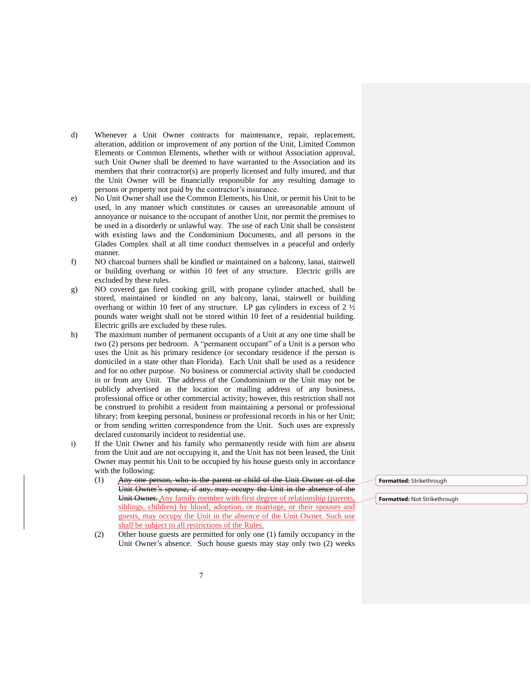- d) Whenever a Unit Owner contracts for maintenance, repair, replacement, alteration, addition or improvement of any portion of the Unit, Limited Common Elements or Common Elements, whether with or without Association approval, such Unit Owner shall be deemed to have warranted to the Association and its members that their contractor(s) are properly licensed and fully insured, and that the Unit Owner will be financially responsible for any resulting damage to persons or property not paid by the contractor's insurance.
- e) No Unit Owner shall use the Common Elements, his Unit, or permit his Unit to be used, in any manner which constitutes or causes an unreasonable amount of annoyance or nuisance to the occupant of another Unit, nor permit the premises to be used in a disorderly or unlawful way. The use of each Unit shall be consistent with existing laws and the Condominium Documents, and all persons in the Glades Complex shall at all time conduct themselves in a peaceful and orderly manner.
- f) NO charcoal burners shall be kindled or maintained on a balcony, lanai, stairwell or building overhang or within 10 feet of any structure. Electric grills are excluded by these rules.
- g) NO covered gas fired cooking grill, with propane cylinder attached, shall be stored, maintained or kindled on any balcony, lanai, stairwell or building overhang or within 10 feet of any structure. LP gas cylinders in excess of 2 ½ pounds water weight shall not be stored within 10 feet of a residential building. Electric grills are excluded by these rules.
- h) The maximum number of permanent occupants of a Unit at any one time shall be two (2) persons per bedroom. A "permanent occupant" of a Unit is a person who uses the Unit as his primary residence (or secondary residence if the person is domiciled in a state other than Florida). Each Unit shall be used as a residence and for no other purpose. No business or commercial activity shall be conducted in or from any Unit. The address of the Condominium or the Unit may not be publicly advertised as the location or mailing address of any business, professional office or other commercial activity; however, this restriction shall not be construed to prohibit a resident from maintaining a personal or professional library; from keeping personal, business or professional records in his or her Unit; or from sending written correspondence from the Unit. Such uses are expressly declared customarily incident to residential use.
- i) If the Unit Owner and his family who permanently reside with him are absent from the Unit and are not occupying it, and the Unit has not been leased, the Unit Owner may permit his Unit to be occupied by his house guests only in accordance with the following:
	- (1) Any one person, who is the parent or child of the Unit Owner or of the Unit Owner's spouse, if any, may occupy the Unit in the absence of the Unit Owner. Any family member with first degree of relationship (parents, siblings, children) by blood, adoption, or marriage, or their spouses and guests, may occupy the Unit in the absence of the Unit Owner. Such use shall be subject to all restrictions of the Rules.
	- (2) Other house guests are permitted for only one (1) family occupancy in the Unit Owner's absence. Such house guests may stay only two (2) weeks

**Formatted:** Strikethrough

**Formatted:** Not Strikethrough

7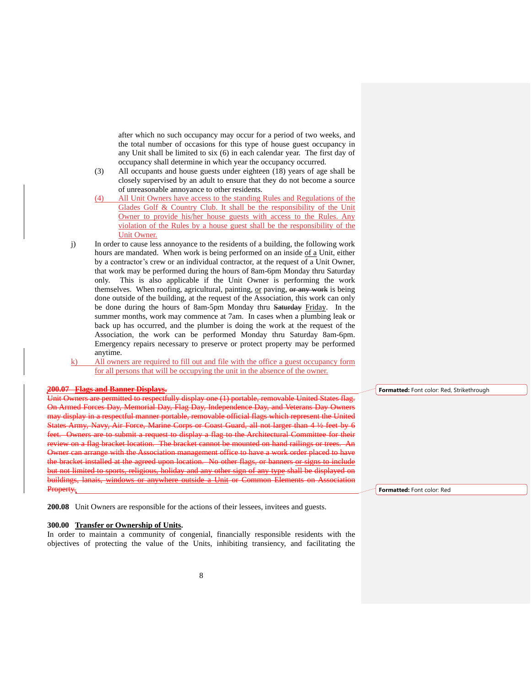after which no such occupancy may occur for a period of two weeks, and the total number of occasions for this type of house guest occupancy in any Unit shall be limited to six (6) in each calendar year. The first day of occupancy shall determine in which year the occupancy occurred.

- (3) All occupants and house guests under eighteen (18) years of age shall be closely supervised by an adult to ensure that they do not become a source of unreasonable annoyance to other residents.
- (4) All Unit Owners have access to the standing Rules and Regulations of the Glades Golf & Country Club. It shall be the responsibility of the Unit Owner to provide his/her house guests with access to the Rules. Any violation of the Rules by a house guest shall be the responsibility of the Unit Owner.
- j) In order to cause less annoyance to the residents of a building, the following work hours are mandated. When work is being performed on an inside of a Unit, either by a contractor's crew or an individual contractor, at the request of a Unit Owner, that work may be performed during the hours of 8am-6pm Monday thru Saturday only. This is also applicable if the Unit Owner is performing the work themselves. When roofing, agricultural, painting, or paving, or any work is being done outside of the building, at the request of the Association, this work can only be done during the hours of 8am-5pm Monday thru Saturday Friday. In the summer months, work may commence at 7am. In cases when a plumbing leak or back up has occurred, and the plumber is doing the work at the request of the Association, the work can be performed Monday thru Saturday 8am-6pm. Emergency repairs necessary to preserve or protect property may be performed anytime.
- k) All owners are required to fill out and file with the office a guest occupancy form for all persons that will be occupying the unit in the absence of the owner.

# **200.07 Flags and Banner Displays.**

Unit Owners are permitted to respectfully display one (1) portable, removable United States flag. On Armed Forces Day, Memorial Day, Flag Day, Independence Day, and Veterans Day Owners may display in a respectful manner portable, removable official flags which represent the United States Army, Navy, Air Force, Marine Corps or Coast Guard, all not larger than 4 ½ feet by 6 feet. Owners are to submit a request to display a flag to the Architectural Committee for their review on a flag bracket location. The bracket cannot be mounted on hand railings or trees. An Owner can arrange with the Association management office to have a work order placed to have the bracket installed at the agreed upon location. No other flags, or banners or signs to include but not limited to sports, religious, holiday and any other sign of any type shall be displayed on buildings, lanais, windows or anywhere outside a Unit or Common Elements on Association Property.

**200.08** Unit Owners are responsible for the actions of their lessees, invitees and guests.

### **300.00 Transfer or Ownership of Units.**

In order to maintain a community of congenial, financially responsible residents with the objectives of protecting the value of the Units, inhibiting transiency, and facilitating the **Formatted:** Font color: Red, Strikethrough

**Formatted:** Font color: Red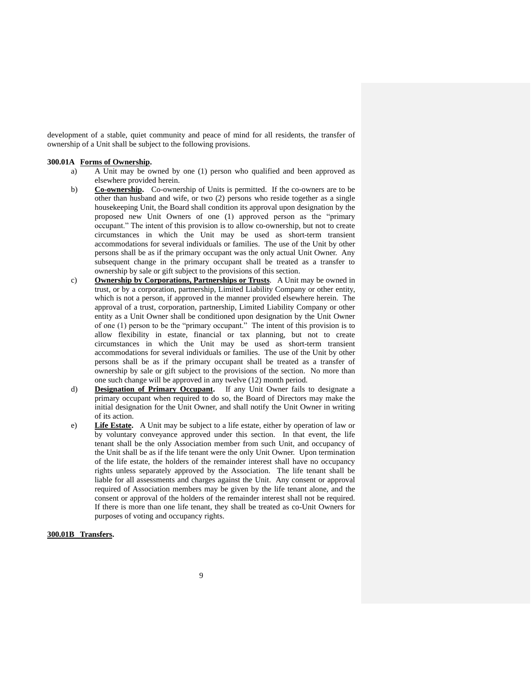development of a stable, quiet community and peace of mind for all residents, the transfer of ownership of a Unit shall be subject to the following provisions.

### **300.01A Forms of Ownership.**

- a) A Unit may be owned by one (1) person who qualified and been approved as elsewhere provided herein.
- b) **Co-ownership.** Co-ownership of Units is permitted. If the co-owners are to be other than husband and wife, or two (2) persons who reside together as a single housekeeping Unit, the Board shall condition its approval upon designation by the proposed new Unit Owners of one (1) approved person as the "primary occupant." The intent of this provision is to allow co-ownership, but not to create circumstances in which the Unit may be used as short-term transient accommodations for several individuals or families. The use of the Unit by other persons shall be as if the primary occupant was the only actual Unit Owner. Any subsequent change in the primary occupant shall be treated as a transfer to ownership by sale or gift subject to the provisions of this section.
- c) **Ownership by Corporations, Partnerships or Trusts**. A Unit may be owned in trust, or by a corporation, partnership, Limited Liability Company or other entity, which is not a person, if approved in the manner provided elsewhere herein. The approval of a trust, corporation, partnership, Limited Liability Company or other entity as a Unit Owner shall be conditioned upon designation by the Unit Owner of one (1) person to be the "primary occupant." The intent of this provision is to allow flexibility in estate, financial or tax planning, but not to create circumstances in which the Unit may be used as short-term transient accommodations for several individuals or families. The use of the Unit by other persons shall be as if the primary occupant shall be treated as a transfer of ownership by sale or gift subject to the provisions of the section. No more than one such change will be approved in any twelve (12) month period.
- d) **Designation of Primary Occupant.** If any Unit Owner fails to designate a primary occupant when required to do so, the Board of Directors may make the initial designation for the Unit Owner, and shall notify the Unit Owner in writing of its action.
- e) **Life Estate.** A Unit may be subject to a life estate, either by operation of law or by voluntary conveyance approved under this section. In that event, the life tenant shall be the only Association member from such Unit, and occupancy of the Unit shall be as if the life tenant were the only Unit Owner. Upon termination of the life estate, the holders of the remainder interest shall have no occupancy rights unless separately approved by the Association. The life tenant shall be liable for all assessments and charges against the Unit. Any consent or approval required of Association members may be given by the life tenant alone, and the consent or approval of the holders of the remainder interest shall not be required. If there is more than one life tenant, they shall be treated as co-Unit Owners for purposes of voting and occupancy rights.

# **300.01B Transfers.**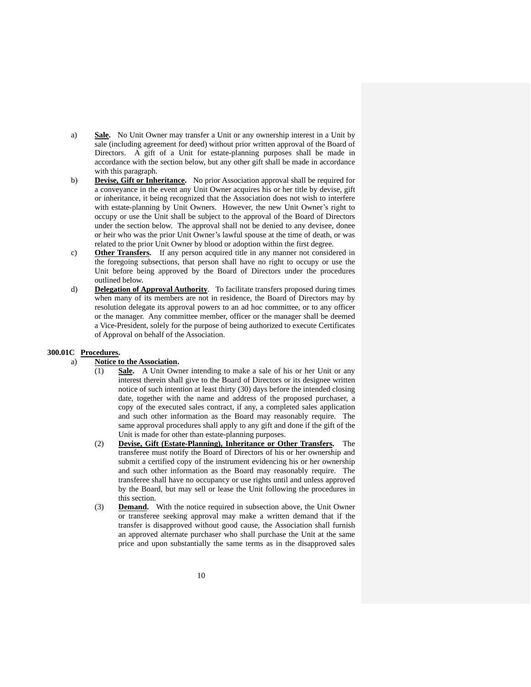- a) **Sale.** No Unit Owner may transfer a Unit or any ownership interest in a Unit by sale (including agreement for deed) without prior written approval of the Board of Directors. A gift of a Unit for estate-planning purposes shall be made in accordance with the section below, but any other gift shall be made in accordance with this paragraph.
- b) **Devise, Gift or Inheritance.** No prior Association approval shall be required for a conveyance in the event any Unit Owner acquires his or her title by devise, gift or inheritance, it being recognized that the Association does not wish to interfere with estate-planning by Unit Owners. However, the new Unit Owner's right to occupy or use the Unit shall be subject to the approval of the Board of Directors under the section below. The approval shall not be denied to any devisee, donee or heir who was the prior Unit Owner's lawful spouse at the time of death, or was related to the prior Unit Owner by blood or adoption within the first degree.
- c) **Other Transfers.** If any person acquired title in any manner not considered in the foregoing subsections, that person shall have no right to occupy or use the Unit before being approved by the Board of Directors under the procedures outlined below.
- d) **Delegation of Approval Authority**. To facilitate transfers proposed during times when many of its members are not in residence, the Board of Directors may by resolution delegate its approval powers to an ad hoc committee, or to any officer or the manager. Any committee member, officer or the manager shall be deemed a Vice-President, solely for the purpose of being authorized to execute Certificates of Approval on behalf of the Association.

# **300.01C Procedures.**

# a) **Notice to the Association.**

- (1) **Sale.** A Unit Owner intending to make a sale of his or her Unit or any interest therein shall give to the Board of Directors or its designee written notice of such intention at least thirty (30) days before the intended closing date, together with the name and address of the proposed purchaser, a copy of the executed sales contract, if any, a completed sales application and such other information as the Board may reasonably require. The same approval procedures shall apply to any gift and done if the gift of the Unit is made for other than estate-planning purposes.
- (2) **Devise, Gift (Estate-Planning), Inheritance or Other Transfers.** The transferee must notify the Board of Directors of his or her ownership and submit a certified copy of the instrument evidencing his or her ownership and such other information as the Board may reasonably require. The transferee shall have no occupancy or use rights until and unless approved by the Board, but may sell or lease the Unit following the procedures in this section.
- (3) **Demand.** With the notice required in subsection above, the Unit Owner or transferee seeking approval may make a written demand that if the transfer is disapproved without good cause, the Association shall furnish an approved alternate purchaser who shall purchase the Unit at the same price and upon substantially the same terms as in the disapproved sales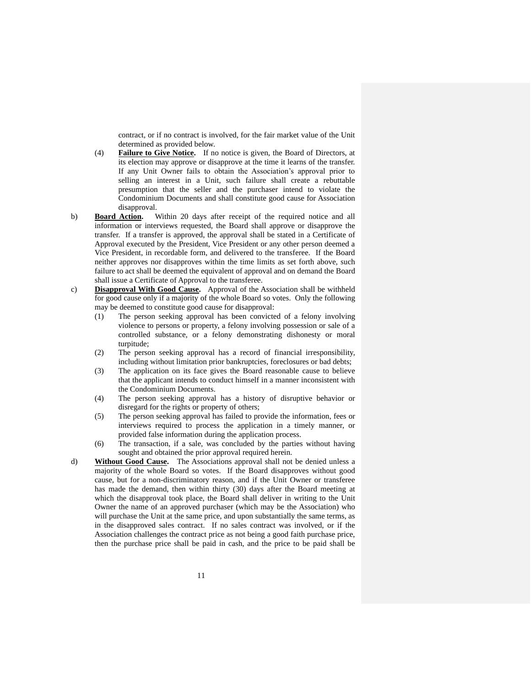contract, or if no contract is involved, for the fair market value of the Unit determined as provided below.

- (4) **Failure to Give Notice.** If no notice is given, the Board of Directors, at its election may approve or disapprove at the time it learns of the transfer. If any Unit Owner fails to obtain the Association's approval prior to selling an interest in a Unit, such failure shall create a rebuttable presumption that the seller and the purchaser intend to violate the Condominium Documents and shall constitute good cause for Association disapproval.
- b) **Board Action.** Within 20 days after receipt of the required notice and all information or interviews requested, the Board shall approve or disapprove the transfer. If a transfer is approved, the approval shall be stated in a Certificate of Approval executed by the President, Vice President or any other person deemed a Vice President, in recordable form, and delivered to the transferee. If the Board neither approves nor disapproves within the time limits as set forth above, such failure to act shall be deemed the equivalent of approval and on demand the Board shall issue a Certificate of Approval to the transferee.
- c) **Disapproval With Good Cause.** Approval of the Association shall be withheld for good cause only if a majority of the whole Board so votes. Only the following may be deemed to constitute good cause for disapproval:
	- (1) The person seeking approval has been convicted of a felony involving violence to persons or property, a felony involving possession or sale of a controlled substance, or a felony demonstrating dishonesty or moral turpitude;
	- (2) The person seeking approval has a record of financial irresponsibility, including without limitation prior bankruptcies, foreclosures or bad debts;
	- (3) The application on its face gives the Board reasonable cause to believe that the applicant intends to conduct himself in a manner inconsistent with the Condominium Documents.
	- (4) The person seeking approval has a history of disruptive behavior or disregard for the rights or property of others;
	- (5) The person seeking approval has failed to provide the information, fees or interviews required to process the application in a timely manner, or provided false information during the application process.
	- (6) The transaction, if a sale, was concluded by the parties without having sought and obtained the prior approval required herein.
- d) **Without Good Cause.** The Associations approval shall not be denied unless a majority of the whole Board so votes. If the Board disapproves without good cause, but for a non-discriminatory reason, and if the Unit Owner or transferee has made the demand, then within thirty (30) days after the Board meeting at which the disapproval took place, the Board shall deliver in writing to the Unit Owner the name of an approved purchaser (which may be the Association) who will purchase the Unit at the same price, and upon substantially the same terms, as in the disapproved sales contract. If no sales contract was involved, or if the Association challenges the contract price as not being a good faith purchase price, then the purchase price shall be paid in cash, and the price to be paid shall be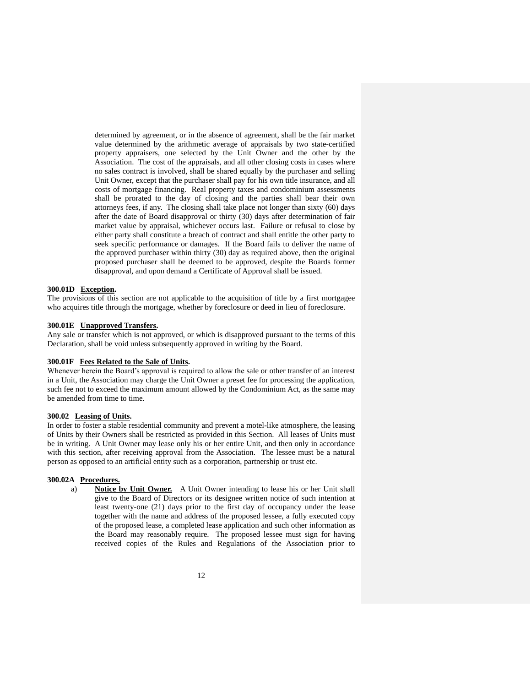determined by agreement, or in the absence of agreement, shall be the fair market value determined by the arithmetic average of appraisals by two state-certified property appraisers, one selected by the Unit Owner and the other by the Association. The cost of the appraisals, and all other closing costs in cases where no sales contract is involved, shall be shared equally by the purchaser and selling Unit Owner, except that the purchaser shall pay for his own title insurance, and all costs of mortgage financing. Real property taxes and condominium assessments shall be prorated to the day of closing and the parties shall bear their own attorneys fees, if any. The closing shall take place not longer than sixty (60) days after the date of Board disapproval or thirty (30) days after determination of fair market value by appraisal, whichever occurs last. Failure or refusal to close by either party shall constitute a breach of contract and shall entitle the other party to seek specific performance or damages. If the Board fails to deliver the name of the approved purchaser within thirty (30) day as required above, then the original proposed purchaser shall be deemed to be approved, despite the Boards former disapproval, and upon demand a Certificate of Approval shall be issued.

#### **300.01D Exception.**

The provisions of this section are not applicable to the acquisition of title by a first mortgagee who acquires title through the mortgage, whether by foreclosure or deed in lieu of foreclosure.

# **300.01E Unapproved Transfers.**

Any sale or transfer which is not approved, or which is disapproved pursuant to the terms of this Declaration, shall be void unless subsequently approved in writing by the Board.

# **300.01F Fees Related to the Sale of Units.**

Whenever herein the Board's approval is required to allow the sale or other transfer of an interest in a Unit, the Association may charge the Unit Owner a preset fee for processing the application, such fee not to exceed the maximum amount allowed by the Condominium Act, as the same may be amended from time to time.

#### **300.02 Leasing of Units.**

In order to foster a stable residential community and prevent a motel-like atmosphere, the leasing of Units by their Owners shall be restricted as provided in this Section. All leases of Units must be in writing. A Unit Owner may lease only his or her entire Unit, and then only in accordance with this section, after receiving approval from the Association. The lessee must be a natural person as opposed to an artificial entity such as a corporation, partnership or trust etc.

# **300.02A Procedures.**

a) **Notice by Unit Owner.** A Unit Owner intending to lease his or her Unit shall give to the Board of Directors or its designee written notice of such intention at least twenty-one (21) days prior to the first day of occupancy under the lease together with the name and address of the proposed lessee, a fully executed copy of the proposed lease, a completed lease application and such other information as the Board may reasonably require. The proposed lessee must sign for having received copies of the Rules and Regulations of the Association prior to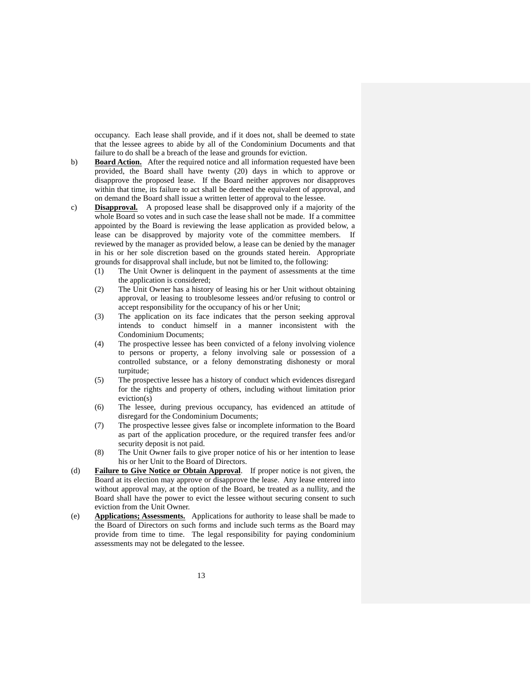occupancy. Each lease shall provide, and if it does not, shall be deemed to state that the lessee agrees to abide by all of the Condominium Documents and that failure to do shall be a breach of the lease and grounds for eviction.

- b) **Board Action.** After the required notice and all information requested have been provided, the Board shall have twenty (20) days in which to approve or disapprove the proposed lease. If the Board neither approves nor disapproves within that time, its failure to act shall be deemed the equivalent of approval, and on demand the Board shall issue a written letter of approval to the lessee.
- c) **Disapproval.** A proposed lease shall be disapproved only if a majority of the whole Board so votes and in such case the lease shall not be made. If a committee appointed by the Board is reviewing the lease application as provided below, a lease can be disapproved by majority vote of the committee members. If reviewed by the manager as provided below, a lease can be denied by the manager in his or her sole discretion based on the grounds stated herein. Appropriate grounds for disapproval shall include, but not be limited to, the following:
	- (1) The Unit Owner is delinquent in the payment of assessments at the time the application is considered;
	- (2) The Unit Owner has a history of leasing his or her Unit without obtaining approval, or leasing to troublesome lessees and/or refusing to control or accept responsibility for the occupancy of his or her Unit;
	- (3) The application on its face indicates that the person seeking approval intends to conduct himself in a manner inconsistent with the Condominium Documents;
	- (4) The prospective lessee has been convicted of a felony involving violence to persons or property, a felony involving sale or possession of a controlled substance, or a felony demonstrating dishonesty or moral turpitude;
	- (5) The prospective lessee has a history of conduct which evidences disregard for the rights and property of others, including without limitation prior eviction(s)
	- (6) The lessee, during previous occupancy, has evidenced an attitude of disregard for the Condominium Documents;
	- (7) The prospective lessee gives false or incomplete information to the Board as part of the application procedure, or the required transfer fees and/or security deposit is not paid.
	- (8) The Unit Owner fails to give proper notice of his or her intention to lease his or her Unit to the Board of Directors.
- (d) **Failure to Give Notice or Obtain Approval**. If proper notice is not given, the Board at its election may approve or disapprove the lease. Any lease entered into without approval may, at the option of the Board, be treated as a nullity, and the Board shall have the power to evict the lessee without securing consent to such eviction from the Unit Owner.
- (e) **Applications; Assessments.** Applications for authority to lease shall be made to the Board of Directors on such forms and include such terms as the Board may provide from time to time. The legal responsibility for paying condominium assessments may not be delegated to the lessee.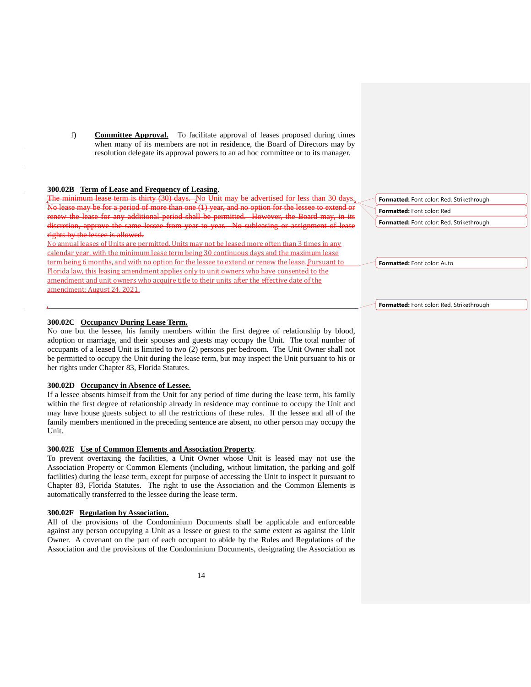f) **Committee Approval.** To facilitate approval of leases proposed during times when many of its members are not in residence, the Board of Directors may by resolution delegate its approval powers to an ad hoc committee or to its manager.

#### **300.02B Term of Lease and Frequency of Leasing**.

The minimum lease term is thirty (30) days. No Unit may be advertised for less than 30 days. ie may be for a period of more than one (1) year, and no option for the lessee to extend or ew the lease for any additional period shall be permitted. However, the renewishing or the Solid may approximate may or  $\frac{1}{n}$  and  $\frac{1}{n}$  or  $\frac{1}{n}$  for  $\frac{1}{n}$  and  $\frac{1}{n}$  or  $\frac{1}{n}$  for  $\frac{1}{n}$  and  $\frac{1}{$ scretion, approve the same lessee from year to year. No subleasing or assignment of lease rights by the lessee is allowed.

No annual leases of Units are permitted. Units may not be leased more often than 3 times in any calendar year, with the minimum lease term being 30 continuous days and the maximum lease term being 6 months, and with no option for the lessee to extend or renew the lease. Pursuant to Florida law, this leasing amendment applies only to unit owners who have consented to the amendment and unit owners who acquire title to their units after the effective date of the amendment: August 24, 2021.

# **300.02C Occupancy During Lease Term.**

No one but the lessee, his family members within the first degree of relationship by blood, adoption or marriage, and their spouses and guests may occupy the Unit. The total number of occupants of a leased Unit is limited to two (2) persons per bedroom. The Unit Owner shall not be permitted to occupy the Unit during the lease term, but may inspect the Unit pursuant to his or her rights under Chapter 83, Florida Statutes.

# **300.02D Occupancy in Absence of Lessee.**

If a lessee absents himself from the Unit for any period of time during the lease term, his family within the first degree of relationship already in residence may continue to occupy the Unit and may have house guests subject to all the restrictions of these rules. If the lessee and all of the family members mentioned in the preceding sentence are absent, no other person may occupy the Unit.

# **300.02E Use of Common Elements and Association Property**.

To prevent overtaxing the facilities, a Unit Owner whose Unit is leased may not use the Association Property or Common Elements (including, without limitation, the parking and golf facilities) during the lease term, except for purpose of accessing the Unit to inspect it pursuant to Chapter 83, Florida Statutes. The right to use the Association and the Common Elements is automatically transferred to the lessee during the lease term.

#### **300.02F Regulation by Association.**

All of the provisions of the Condominium Documents shall be applicable and enforceable against any person occupying a Unit as a lessee or guest to the same extent as against the Unit Owner. A covenant on the part of each occupant to abide by the Rules and Regulations of the Association and the provisions of the Condominium Documents, designating the Association as

**Formatted:** Font color: Red, Strikethrough **Formatted:** Font color: Red **Formatted:** Font color: Red, Strikethrough

**Formatted:** Font color: Auto

**Formatted:** Font color: Red, Strikethrough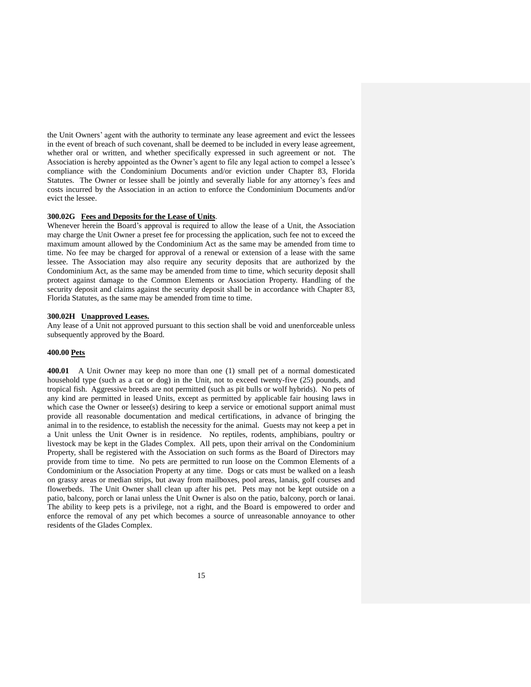the Unit Owners' agent with the authority to terminate any lease agreement and evict the lessees in the event of breach of such covenant, shall be deemed to be included in every lease agreement, whether oral or written, and whether specifically expressed in such agreement or not. The Association is hereby appointed as the Owner's agent to file any legal action to compel a lessee's compliance with the Condominium Documents and/or eviction under Chapter 83, Florida Statutes. The Owner or lessee shall be jointly and severally liable for any attorney's fees and costs incurred by the Association in an action to enforce the Condominium Documents and/or evict the lessee.

#### **300.02G Fees and Deposits for the Lease of Units**.

Whenever herein the Board's approval is required to allow the lease of a Unit, the Association may charge the Unit Owner a preset fee for processing the application, such fee not to exceed the maximum amount allowed by the Condominium Act as the same may be amended from time to time. No fee may be charged for approval of a renewal or extension of a lease with the same lessee. The Association may also require any security deposits that are authorized by the Condominium Act, as the same may be amended from time to time, which security deposit shall protect against damage to the Common Elements or Association Property. Handling of the security deposit and claims against the security deposit shall be in accordance with Chapter 83, Florida Statutes, as the same may be amended from time to time.

#### **300.02H Unapproved Leases.**

Any lease of a Unit not approved pursuant to this section shall be void and unenforceable unless subsequently approved by the Board.

# **400.00 Pets**

**400.01** A Unit Owner may keep no more than one (1) small pet of a normal domesticated household type (such as a cat or dog) in the Unit, not to exceed twenty-five (25) pounds, and tropical fish. Aggressive breeds are not permitted (such as pit bulls or wolf hybrids). No pets of any kind are permitted in leased Units, except as permitted by applicable fair housing laws in which case the Owner or lessee(s) desiring to keep a service or emotional support animal must provide all reasonable documentation and medical certifications, in advance of bringing the animal in to the residence, to establish the necessity for the animal. Guests may not keep a pet in a Unit unless the Unit Owner is in residence. No reptiles, rodents, amphibians, poultry or livestock may be kept in the Glades Complex. All pets, upon their arrival on the Condominium Property, shall be registered with the Association on such forms as the Board of Directors may provide from time to time. No pets are permitted to run loose on the Common Elements of a Condominium or the Association Property at any time. Dogs or cats must be walked on a leash on grassy areas or median strips, but away from mailboxes, pool areas, lanais, golf courses and flowerbeds. The Unit Owner shall clean up after his pet. Pets may not be kept outside on a patio, balcony, porch or lanai unless the Unit Owner is also on the patio, balcony, porch or lanai. The ability to keep pets is a privilege, not a right, and the Board is empowered to order and enforce the removal of any pet which becomes a source of unreasonable annoyance to other residents of the Glades Complex.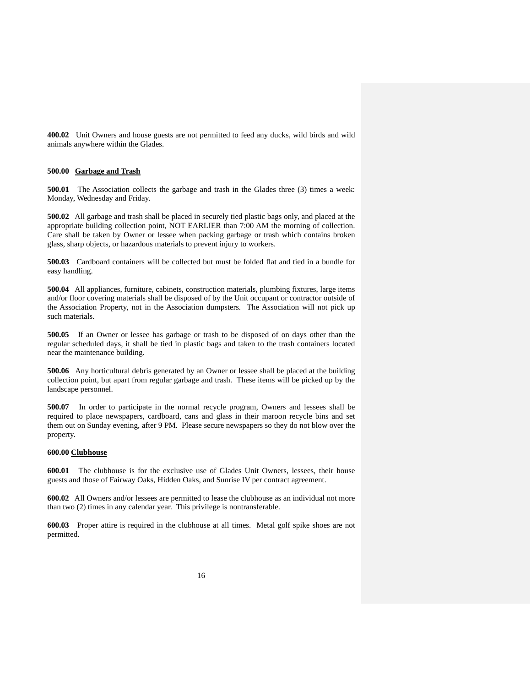**400.02** Unit Owners and house guests are not permitted to feed any ducks, wild birds and wild animals anywhere within the Glades.

# **500.00 Garbage and Trash**

**500.01** The Association collects the garbage and trash in the Glades three (3) times a week: Monday, Wednesday and Friday.

**500.02** All garbage and trash shall be placed in securely tied plastic bags only, and placed at the appropriate building collection point, NOT EARLIER than 7:00 AM the morning of collection. Care shall be taken by Owner or lessee when packing garbage or trash which contains broken glass, sharp objects, or hazardous materials to prevent injury to workers.

**500.03** Cardboard containers will be collected but must be folded flat and tied in a bundle for easy handling.

**500.04** All appliances, furniture, cabinets, construction materials, plumbing fixtures, large items and/or floor covering materials shall be disposed of by the Unit occupant or contractor outside of the Association Property, not in the Association dumpsters. The Association will not pick up such materials.

**500.05** If an Owner or lessee has garbage or trash to be disposed of on days other than the regular scheduled days, it shall be tied in plastic bags and taken to the trash containers located near the maintenance building.

**500.06** Any horticultural debris generated by an Owner or lessee shall be placed at the building collection point, but apart from regular garbage and trash. These items will be picked up by the landscape personnel.

**500.07** In order to participate in the normal recycle program, Owners and lessees shall be required to place newspapers, cardboard, cans and glass in their maroon recycle bins and set them out on Sunday evening, after 9 PM. Please secure newspapers so they do not blow over the property.

# **600.00 Clubhouse**

**600.01** The clubhouse is for the exclusive use of Glades Unit Owners, lessees, their house guests and those of Fairway Oaks, Hidden Oaks, and Sunrise IV per contract agreement.

**600.02** All Owners and/or lessees are permitted to lease the clubhouse as an individual not more than two (2) times in any calendar year. This privilege is nontransferable.

**600.03** Proper attire is required in the clubhouse at all times. Metal golf spike shoes are not permitted.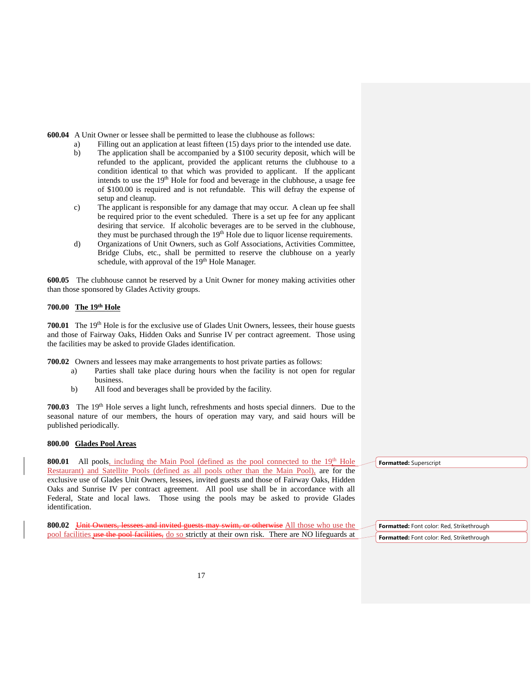**600.04** A Unit Owner or lessee shall be permitted to lease the clubhouse as follows:

- a) Filling out an application at least fifteen (15) days prior to the intended use date.
- b) The application shall be accompanied by a \$100 security deposit, which will be refunded to the applicant, provided the applicant returns the clubhouse to a condition identical to that which was provided to applicant. If the applicant intends to use the 19<sup>th</sup> Hole for food and beverage in the clubhouse, a usage fee of \$100.00 is required and is not refundable. This will defray the expense of setup and cleanup.
- c) The applicant is responsible for any damage that may occur. A clean up fee shall be required prior to the event scheduled. There is a set up fee for any applicant desiring that service. If alcoholic beverages are to be served in the clubhouse, they must be purchased through the 19<sup>th</sup> Hole due to liquor license requirements.
- d) Organizations of Unit Owners, such as Golf Associations, Activities Committee, Bridge Clubs, etc., shall be permitted to reserve the clubhouse on a yearly schedule, with approval of the 19<sup>th</sup> Hole Manager.

**600.05** The clubhouse cannot be reserved by a Unit Owner for money making activities other than those sponsored by Glades Activity groups.

## **700.00 The 19th Hole**

**700.01** The 19<sup>th</sup> Hole is for the exclusive use of Glades Unit Owners, lessees, their house guests and those of Fairway Oaks, Hidden Oaks and Sunrise IV per contract agreement. Those using the facilities may be asked to provide Glades identification.

**700.02** Owners and lessees may make arrangements to host private parties as follows:

- a) Parties shall take place during hours when the facility is not open for regular business.
- b) All food and beverages shall be provided by the facility.

**700.03** The 19<sup>th</sup> Hole serves a light lunch, refreshments and hosts special dinners. Due to the seasonal nature of our members, the hours of operation may vary, and said hours will be published periodically.

# **800.00 Glades Pool Areas**

**800.01** All pools, including the Main Pool (defined as the pool connected to the 19<sup>th</sup> Hole Restaurant) and Satellite Pools (defined as all pools other than the Main Pool), are for the exclusive use of Glades Unit Owners, lessees, invited guests and those of Fairway Oaks, Hidden Oaks and Sunrise IV per contract agreement. All pool use shall be in accordance with all Federal, State and local laws. Those using the pools may be asked to provide Glades identification.

**800.02** Unit Owners, lessees and invited guests may swim, or otherwise All those who use the pool facilities use the pool facilities, do so strictly at their own risk. There are NO lifeguards at **Formatted:** Superscript

**Formatted:** Font color: Red, Strikethrough **Formatted:** Font color: Red, Strikethrough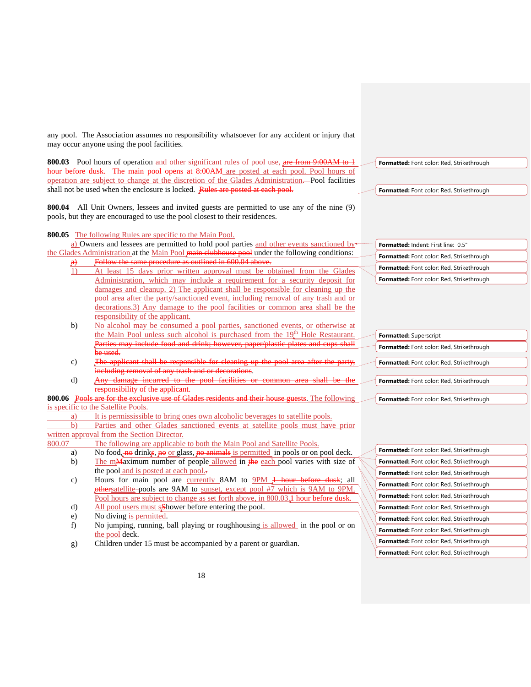any pool. The Association assumes no responsibility whatsoever for any accident or injury that may occur anyone using the pool facilities.

**800.03** Pool hours of operation and other significant rules of pool use, are from 9:00AM to 1 hour before dusk. The main pool opens at 8:00AM are posted at each pool. Pool hours of operation are subject to change at the discretion of the Glades Administration. Pool facilities shall not be used when the enclosure is locked. Rules are posted at each pool.

**800.04** All Unit Owners, lessees and invited guests are permitted to use any of the nine (9) pools, but they are encouraged to use the pool closest to their residences.

**800.05** The following Rules are specific to the Main Pool.

a) Owners and lessees are permitted to hold pool parties and other events sanctioned bythe Glades Administration at the Main Pool main clubhouse pool under the following conditions:

- a) Follow the same procedure as outlined in 600.04 above.
	- 1) At least 15 days prior written approval must be obtained from the Glades Administration, which may include a requirement for a security deposit for damages and cleanup. 2) The applicant shall be responsible for cleaning up the pool area after the party/sanctioned event, including removal of any trash and or decorations.3) Any damage to the pool facilities or common area shall be the responsibility of the applicant.
	- b) No alcohol may be consumed a pool parties, sanctioned events, or otherwise at the Main Pool unless such alcohol is purchased from the 19<sup>th</sup> Hole Restaurant. Parties may include food and drink; however, paper/plastic plates and cups shall be used.
	- c) The applicant shall be responsible for cleaning up the pool area after the including removal of any trash and or decorations.
	- d) Any damage incurred to the pool facilities or commonresponsibility of the applicant.

**800.06** Pools are for the exclusive use of Glades residents and their house guests. The following is specific to the Satellite Pools.

a) It is permississible to bring ones own alcoholic beverages to satellite pools.

b) Parties and other Glades sanctioned events at satellite pools must have prior written approval from the Section Director.

- 800.07 The following are applicable to both the Main Pool and Satellite Pools.
	- a) No food,  $\frac{1}{2}$  No food,  $\frac{1}{2}$  No drinks,  $\frac{1}{2}$   $\frac{1}{2}$  No  $\frac{1}{2}$  and  $\frac{1}{2}$  is permitted in pools or on pool deck.
	- b) The mMaximum number of people allowed in the each pool varies with size of the pool and is posted at each pool...
	- c) Hours for main pool are currently 8AM to  $9PM$  1 hour before dusk; all othersatellite-pools are 9AM to sunset, except pool #7 which is 9AM to 9PM. Pool hours are subject to change as set forth above, in 800.03.<sup>1</sup> hour before dusk.
	- d) All pool users must s**S**hower before entering the pool.
	- e) No diving is permitted.
	- f) No jumping, running, ball playing or roughhousing is allowed in the pool or on the pool deck.
	- g) Children under 15 must be accompanied by a parent or guardian.

**Formatted:** Font color: Red, Strikethrough

**Formatted:** Font color: Red, Strikethrough

**Formatted:** Indent: First line: 0.5" **Formatted:** Font color: Red, Strikethrough **Formatted:** Font color: Red, Strikethrough **Formatted:** Font color: Red, Strikethrough

| Formatted: Superscript                    |
|-------------------------------------------|
| Formatted: Font color: Red, Strikethrough |
|                                           |
| Formatted: Font color: Red, Strikethrough |
|                                           |
| Formatted: Font color: Red, Strikethrough |
|                                           |
| Formatted: Font color: Red, Strikethrough |

| Formatted: Font color: Red, Strikethrough        |
|--------------------------------------------------|
| Formatted: Font color: Red, Strikethrough        |
| Formatted: Font color: Red, Strikethrough        |
| <b>Formatted:</b> Font color: Red, Strikethrough |
| <b>Formatted:</b> Font color: Red, Strikethrough |
| Formatted: Font color: Red, Strikethrough        |
| Formatted: Font color: Red, Strikethrough        |
| <b>Formatted:</b> Font color: Red, Strikethrough |
| Formatted: Font color: Red, Strikethrough        |
| Formatted: Font color: Red, Strikethrough        |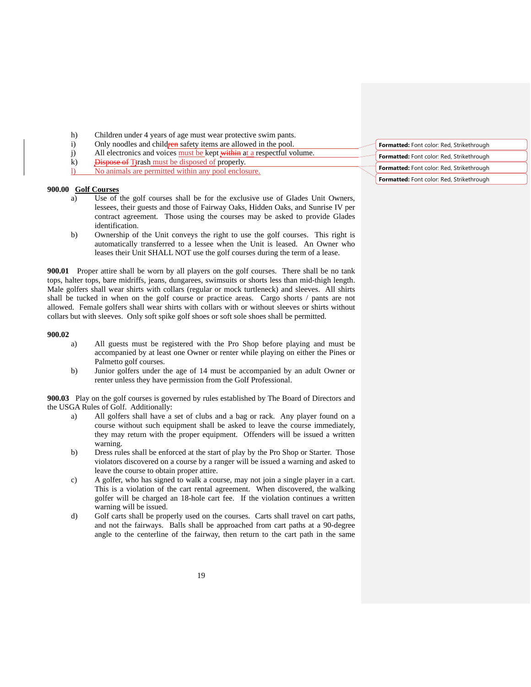- h) Children under 4 years of age must wear protective swim pants.
- i) Only noodles and children safety items are allowed in the pool.
- j) All electronics and voices must be kept within at a respectful volume.
- k) Dispose of T<sub>trash must be disposed of properly.</sub>
- l) No animals are permitted within any pool enclosure.

# **900.00 Golf Courses**

- a) Use of the golf courses shall be for the exclusive use of Glades Unit Owners, lessees, their guests and those of Fairway Oaks, Hidden Oaks, and Sunrise IV per contract agreement. Those using the courses may be asked to provide Glades identification.
- b) Ownership of the Unit conveys the right to use the golf courses. This right is automatically transferred to a lessee when the Unit is leased. An Owner who leases their Unit SHALL NOT use the golf courses during the term of a lease.

**900.01** Proper attire shall be worn by all players on the golf courses. There shall be no tank tops, halter tops, bare midriffs, jeans, dungarees, swimsuits or shorts less than mid-thigh length. Male golfers shall wear shirts with collars (regular or mock turtleneck) and sleeves. All shirts shall be tucked in when on the golf course or practice areas. Cargo shorts / pants are not allowed. Female golfers shall wear shirts with collars with or without sleeves or shirts without collars but with sleeves. Only soft spike golf shoes or soft sole shoes shall be permitted.

#### **900.02**

- a) All guests must be registered with the Pro Shop before playing and must be accompanied by at least one Owner or renter while playing on either the Pines or Palmetto golf courses.
- b) Junior golfers under the age of 14 must be accompanied by an adult Owner or renter unless they have permission from the Golf Professional.

**900.03** Play on the golf courses is governed by rules established by The Board of Directors and the USGA Rules of Golf. Additionally:

- a) All golfers shall have a set of clubs and a bag or rack. Any player found on a course without such equipment shall be asked to leave the course immediately, they may return with the proper equipment. Offenders will be issued a written warning.
- b) Dress rules shall be enforced at the start of play by the Pro Shop or Starter. Those violators discovered on a course by a ranger will be issued a warning and asked to leave the course to obtain proper attire.
- c) A golfer, who has signed to walk a course, may not join a single player in a cart. This is a violation of the cart rental agreement. When discovered, the walking golfer will be charged an 18-hole cart fee. If the violation continues a written warning will be issued.
- d) Golf carts shall be properly used on the courses. Carts shall travel on cart paths, and not the fairways. Balls shall be approached from cart paths at a 90-degree angle to the centerline of the fairway, then return to the cart path in the same

| Formatted: Font color: Red, Strikethrough |
|-------------------------------------------|
| Formatted: Font color: Red, Strikethrough |
| Formatted: Font color: Red, Strikethrough |
| Formatted: Font color: Red, Strikethrough |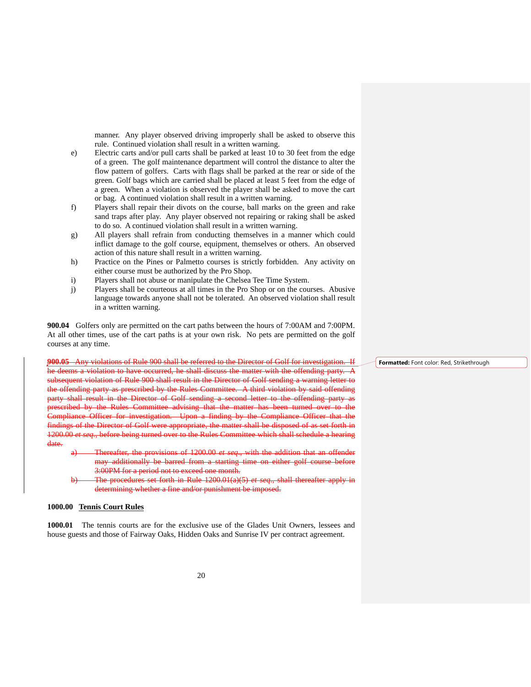manner. Any player observed driving improperly shall be asked to observe this rule. Continued violation shall result in a written warning.

- e) Electric carts and/or pull carts shall be parked at least 10 to 30 feet from the edge of a green. The golf maintenance department will control the distance to alter the flow pattern of golfers. Carts with flags shall be parked at the rear or side of the green. Golf bags which are carried shall be placed at least 5 feet from the edge of a green. When a violation is observed the player shall be asked to move the cart or bag. A continued violation shall result in a written warning.
- f) Players shall repair their divots on the course, ball marks on the green and rake sand traps after play. Any player observed not repairing or raking shall be asked to do so. A continued violation shall result in a written warning.
- g) All players shall refrain from conducting themselves in a manner which could inflict damage to the golf course, equipment, themselves or others. An observed action of this nature shall result in a written warning.
- h) Practice on the Pines or Palmetto courses is strictly forbidden. Any activity on either course must be authorized by the Pro Shop.
- i) Players shall not abuse or manipulate the Chelsea Tee Time System.
- j) Players shall be courteous at all times in the Pro Shop or on the courses. Abusive language towards anyone shall not be tolerated. An observed violation shall result in a written warning.

**900.04** Golfers only are permitted on the cart paths between the hours of 7:00AM and 7:00PM. At all other times, use of the cart paths is at your own risk. No pets are permitted on the golf courses at any time.

**900.05** Any violations of Rule 900 shall be referred to the Director of Golf for investigation. If he deems a violation to have occurred, he shall discuss the matter with the offending party. A subsequent violation of Rule 900 shall result in the Director of Golf sending a warning letter to the offending party as prescribed by the Rules Committee. A third violation by said offending party shall result in the Director of Golf sending a second letter to the offending party as prescribed by the Rules Committee advising that the matter has been turned over to the ompliance Officer for investigation. Upon a finding by the Compliance Officer that the findings of the Director of Golf were appropriate, the matter shall be disposed of as set forth in 1200.00 *et seq.,* before being turned over to the Rules Committee which shall schedule a hearing date.

- a) Thereafter, the provisions of 1200.00 *et seq*., with the addition that an offender may additionally be barred from a starting time on either golf course before 3:00PM for a period not to exceed one month.
- The procedures set forth in Rule 1200.01(a)(5) *et seq.*, shall thereafter apply determining whether a fine and/or punishment be imposed.

# **1000.00 Tennis Court Rules**

**1000.01** The tennis courts are for the exclusive use of the Glades Unit Owners, lessees and house guests and those of Fairway Oaks, Hidden Oaks and Sunrise IV per contract agreement.

**Formatted:** Font color: Red, Strikethrough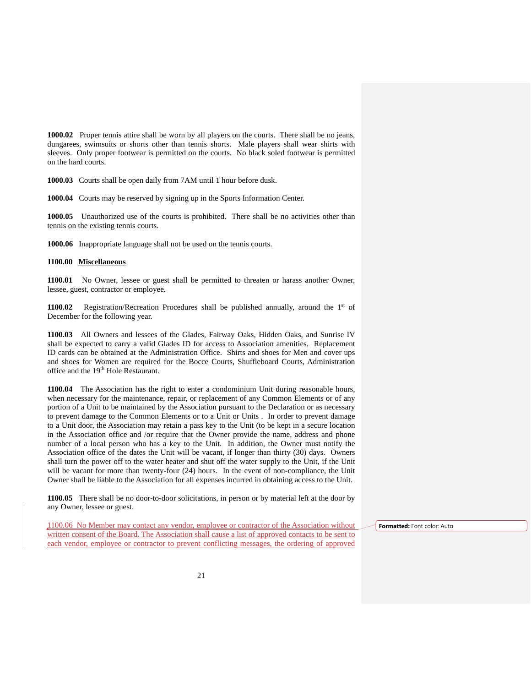**1000.02** Proper tennis attire shall be worn by all players on the courts. There shall be no jeans, dungarees, swimsuits or shorts other than tennis shorts. Male players shall wear shirts with sleeves. Only proper footwear is permitted on the courts. No black soled footwear is permitted on the hard courts.

**1000.03** Courts shall be open daily from 7AM until 1 hour before dusk.

**1000.04** Courts may be reserved by signing up in the Sports Information Center.

**1000.05** Unauthorized use of the courts is prohibited. There shall be no activities other than tennis on the existing tennis courts.

**1000.06** Inappropriate language shall not be used on the tennis courts.

### **1100.00 Miscellaneous**

**1100.01** No Owner, lessee or guest shall be permitted to threaten or harass another Owner, lessee, guest, contractor or employee.

**1100.02** Registration/Recreation Procedures shall be published annually, around the 1<sup>st</sup> of December for the following year.

**1100.03** All Owners and lessees of the Glades, Fairway Oaks, Hidden Oaks, and Sunrise IV shall be expected to carry a valid Glades ID for access to Association amenities. Replacement ID cards can be obtained at the Administration Office. Shirts and shoes for Men and cover ups and shoes for Women are required for the Bocce Courts, Shuffleboard Courts, Administration office and the 19<sup>th</sup> Hole Restaurant.

**1100.04** The Association has the right to enter a condominium Unit during reasonable hours, when necessary for the maintenance, repair, or replacement of any Common Elements or of any portion of a Unit to be maintained by the Association pursuant to the Declaration or as necessary to prevent damage to the Common Elements or to a Unit or Units . In order to prevent damage to a Unit door, the Association may retain a pass key to the Unit (to be kept in a secure location in the Association office and /or require that the Owner provide the name, address and phone number of a local person who has a key to the Unit. In addition, the Owner must notify the Association office of the dates the Unit will be vacant, if longer than thirty (30) days. Owners shall turn the power off to the water heater and shut off the water supply to the Unit, if the Unit will be vacant for more than twenty-four (24) hours. In the event of non-compliance, the Unit Owner shall be liable to the Association for all expenses incurred in obtaining access to the Unit.

**1100.05** There shall be no door-to-door solicitations, in person or by material left at the door by any Owner, lessee or guest.

1100.06 No Member may contact any vendor, employee or contractor of the Association without written consent of the Board. The Association shall cause a list of approved contacts to be sent to each vendor, employee or contractor to prevent conflicting messages, the ordering of approved

**Formatted:** Font color: Auto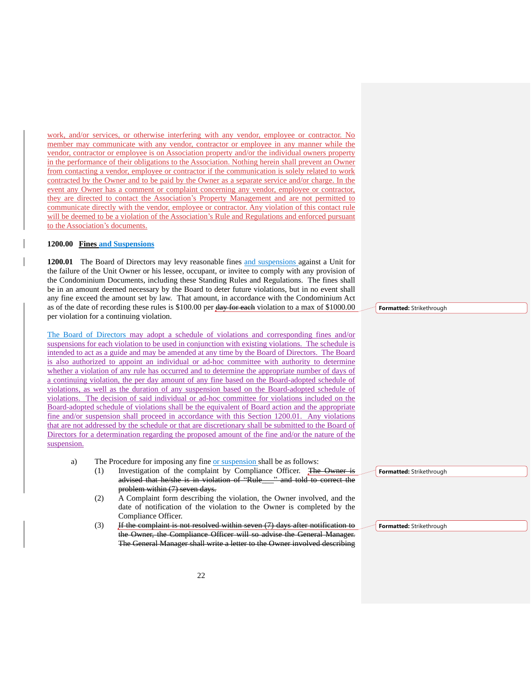work, and/or services, or otherwise interfering with any vendor, employee or contractor. No member may communicate with any vendor, contractor or employee in any manner while the vendor, contractor or employee is on Association property and/or the individual owners property in the performance of their obligations to the Association. Nothing herein shall prevent an Owner from contacting a vendor, employee or contractor if the communication is solely related to work contracted by the Owner and to be paid by the Owner as a separate service and/or charge. In the event any Owner has a comment or complaint concerning any vendor, employee or contractor, they are directed to contact the Association's Property Management and are not permitted to communicate directly with the vendor, employee or contractor. Any violation of this contact rule will be deemed to be a violation of the Association's Rule and Regulations and enforced pursuant to the Association's documents.

#### **1200.00 Fines and Suspensions**

**1200.01** The Board of Directors may levy reasonable fines and suspensions against a Unit for the failure of the Unit Owner or his lessee, occupant, or invitee to comply with any provision of the Condominium Documents, including these Standing Rules and Regulations. The fines shall be in an amount deemed necessary by the Board to deter future violations, but in no event shall any fine exceed the amount set by law. That amount, in accordance with the Condominium Act as of the date of recording these rules is \$100.00 per day for each violation to a max of \$1000.00 per violation for a continuing violation.

The Board of Directors may adopt a schedule of violations and corresponding fines and/or suspensions for each violation to be used in conjunction with existing violations. The schedule is intended to act as a guide and may be amended at any time by the Board of Directors. The Board is also authorized to appoint an individual or ad-hoc committee with authority to determine whether a violation of any rule has occurred and to determine the appropriate number of days of a continuing violation, the per day amount of any fine based on the Board-adopted schedule of violations, as well as the duration of any suspension based on the Board-adopted schedule of violations. The decision of said individual or ad-hoc committee for violations included on the Board-adopted schedule of violations shall be the equivalent of Board action and the appropriate fine and/or suspension shall proceed in accordance with this Section 1200.01. Any violations that are not addressed by the schedule or that are discretionary shall be submitted to the Board of Directors for a determination regarding the proposed amount of the fine and/or the nature of the suspension.

- a) The Procedure for imposing any fine or suspension shall be as follows:
	- (1) Investigation of the complaint by Compliance Officer. The Owner is advised that he/she is in violation of "Rule\_\_\_" and told to correct the problem within (7) seven days.
	- (2) A Complaint form describing the violation, the Owner involved, and the date of notification of the violation to the Owner is completed by the Compliance Officer.
	- (3) If the complaint is not resolved within seven (7) days after notification to the Owner, the Compliance Officer will so advise the General Manager. The General Manager shall write a letter to the Owner involved describing

**Formatted:** Strikethrough

**Formatted:** Strikethrough

**Formatted:** Strikethrough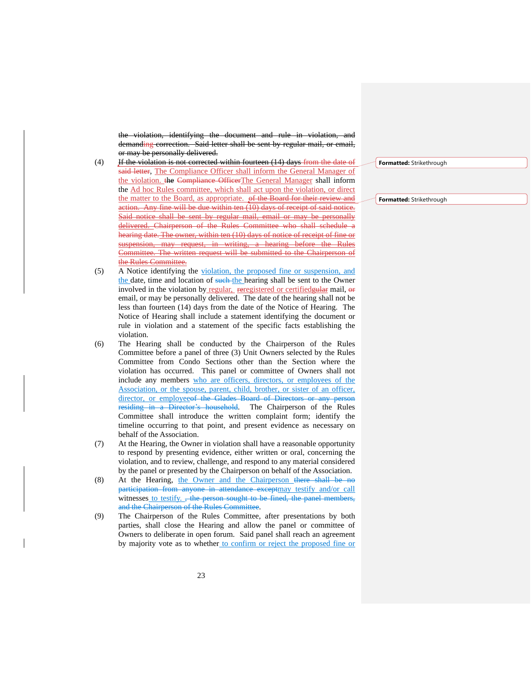the violation, identifying the document and rule in violation, and demanding correction. Said letter shall be sent by regular mail, or email, or may be personally delivered.

- $(4)$  If the violation is not corrected within fourteen  $(14)$  days from the date of said letter, The Compliance Officer shall inform the General Manager of the violation. the Compliance OfficerThe General Manager shall inform the Ad hoc Rules committee, which shall act upon the violation, or direct the matter to the Board, as appropriate. of the Board for their review and action. Any fine will be due within ten (10) days of receipt of said notice. Said notice shall be sent by regular mail, email or may be personally delivered. Chairperson of the Rules Committee who shall schedule a hearing date. The owner, within ten (10) days of notice of receipt of fine or suspension, may request, in writing, a hearing before the Committee. The written request will be submitted to the Chairperson of the Rules Committee.
- (5) A Notice identifying the violation, the proposed fine or suspension, and the date, time and location of such-the hearing shall be sent to the Owner involved in the violation by regular, reregistered or certifiedgular mail, or email, or may be personally delivered. The date of the hearing shall not be less than fourteen (14) days from the date of the Notice of Hearing. The Notice of Hearing shall include a statement identifying the document or rule in violation and a statement of the specific facts establishing the violation.
- (6) The Hearing shall be conducted by the Chairperson of the Rules Committee before a panel of three (3) Unit Owners selected by the Rules Committee from Condo Sections other than the Section where the violation has occurred. This panel or committee of Owners shall not include any members who are officers, directors, or employees of the Association, or the spouse, parent, child, brother, or sister of an officer, director, or employee<del>of the Glades Board of Directors or any person</del> residing in a Director's household. The Chairperson of the Rules Committee shall introduce the written complaint form; identify the timeline occurring to that point, and present evidence as necessary on behalf of the Association.
- (7) At the Hearing, the Owner in violation shall have a reasonable opportunity to respond by presenting evidence, either written or oral, concerning the violation, and to review, challenge, and respond to any material considered by the panel or presented by the Chairperson on behalf of the Association.
- (8) At the Hearing, the Owner and the Chairperson there shall be no participation from anyone in attendance exceptmay testify and/or call witnesses to testify. , the person sought to be fined, the panel members, and the Chairperson of the Rules Committee.
- (9) The Chairperson of the Rules Committee, after presentations by both parties, shall close the Hearing and allow the panel or committee of Owners to deliberate in open forum. Said panel shall reach an agreement by majority vote as to whether to confirm or reject the proposed fine or

**Formatted:** Strikethrough

**Formatted:** Strikethrough